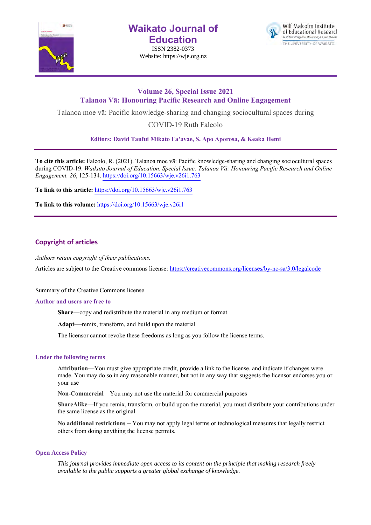

**Waikato Journal of Education**

ISSN 2382-0373 Website: https://wje.org.nz



# **Volume 26, Special Issue 2021 Talanoa Vā: Honouring Pacific Research and Online Engagement**

Talanoa moe vā: Pacific knowledge-sharing and changing sociocultural spaces during

COVID-19 Ruth Faleolo

**Editors: David Taufui Mikato Fa'avae, S. Apo Aporosa, & Keaka Hemi**

**To cite this article:** Faleolo, R. (2021). Talanoa moe vā: Pacific knowledge-sharing and changing sociocultural spaces during COVID-19. *Waikato Journal of Education. Special Issue: Talanoa Vā: Honouring Pacific Research and Online Engagement, 26*, 125-134. https://doi.org/10.15663/wje.v26i1.763

**To link to this article:** https://doi.org/10.15663/wje.v26i1.763

**To link to this volume:** https://doi.org/10.15663/wje.v26i1

## **Copyright of articles**

*Authors retain copyright of their publications.*

Articles are subject to the Creative commons license: https://creativecommons.org/licenses/by-nc-sa/3.0/legalcode

Summary of the Creative Commons license.

#### **Author and users are free to**

**Share**—copy and redistribute the material in any medium or format

**Adapt**—remix, transform, and build upon the material

The licensor cannot revoke these freedoms as long as you follow the license terms.

### **Under the following terms**

**Attribution**—You must give appropriate credit, provide a link to the license, and indicate if changes were made. You may do so in any reasonable manner, but not in any way that suggests the licensor endorses you or your use

**Non-Commercial**—You may not use the material for commercial purposes

**ShareAlike**—If you remix, transform, or build upon the material, you must distribute your contributions under the same license as the original

**No additional restrictions** – You may not apply legal terms or technological measures that legally restrict others from doing anything the license permits.

#### **Open Access Policy**

*This journal provides immediate open access to its content on the principle that making research freely available to the public supports a greater global exchange of knowledge.*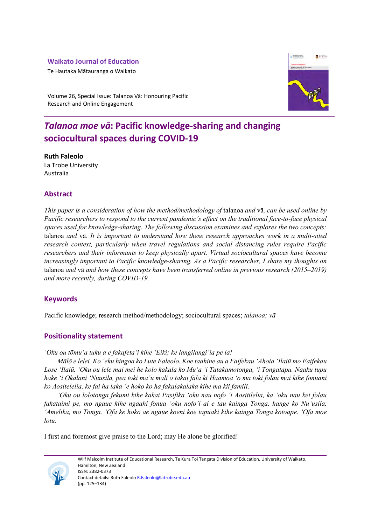# **Waikato Journal of Education**

Te Hautaka Mātauranga o Waikato



Volume 26, Special Issue: Talanoa Vā: Honouring Pacific Research and Online Engagement

# *Talanoa moe vā***: Pacific knowledge-sharing and changing sociocultural spaces during COVID-19**

**Ruth Faleolo**  La Trobe University Australia

# **Abstract**

*This paper is a consideration of how the method/methodology of* talanoa *and* vā*, can be used online by Pacific researchers to respond to the current pandemic's effect on the traditional face-to-face physical spaces used for knowledge-sharing. The following discussion examines and explores the two concepts:*  talanoa *and* vā*. It is important to understand how these research approaches work in a multi-sited research context, particularly when travel regulations and social distancing rules require Pacific researchers and their informants to keep physically apart. Virtual sociocultural spaces have become increasingly important to Pacific knowledge-sharing. As a Pacific researcher, I share my thoughts on*  talanoa *and* vā *and how these concepts have been transferred online in previous research (2015–2019) and more recently, during COVID-19.* 

# **Keywords**

Pacific knowledge; research method/methodology; sociocultural spaces; *talanoa; vā*

# **Positionality statement**

*'Oku ou tōmu'a tuku a e fakafeta'i kihe 'Eiki; ke langilangi'ia pe ia!*

*Mālō e lelei. Ko 'eku hingoa ko Lute Faleolo. Koe taahine au a Faifekau 'Ahoia 'Ilaiū mo Faifekau Lose 'Ilaiū. 'Oku ou lele mai mei he kolo kakala ko Mu'a 'i Tatakamotonga, 'i Tongatapu. Naaku tupu hake 'i Okalani 'Nuusila, pea toki ma'u mali o takai fala ki Haamoa 'o ma toki folau mai kihe fonuani ko Aositelelia, ke fai ha laka 'e hoko ko ha fakalakalaka kihe ma kii famili.*

*'Oku ou lolotonga fekumi kihe kakai Pasifika 'oku nau nofo 'i Aositilelia, ka 'oku nau kei folau fakataimi pe, mo ngaue kihe ngaahi fonua 'oku nofo'i ai e tau kainga Tonga, hange ko Nu'usila, 'Amelika, mo Tonga. 'Ofa ke hoko ae ngaue koeni koe tapuaki kihe kainga Tonga kotoape. 'Ofa moe lotu.*

I first and foremost give praise to the Lord; may He alone be glorified!

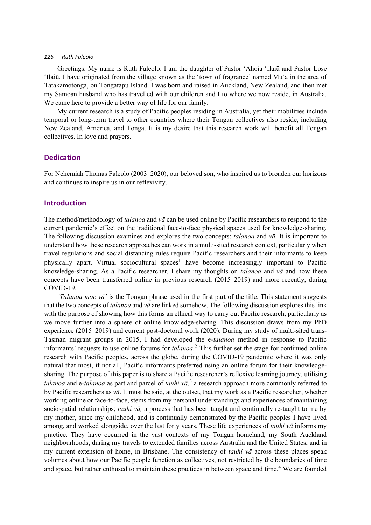Greetings. My name is Ruth Faleolo. I am the daughter of Pastor 'Ahoia 'Ilaiū and Pastor Lose 'Ilaiū. I have originated from the village known as the 'town of fragrance' named Mu'a in the area of Tatakamotonga, on Tongatapu Island. I was born and raised in Auckland, New Zealand, and then met my Samoan husband who has travelled with our children and I to where we now reside, in Australia. We came here to provide a better way of life for our family.

My current research is a study of Pacific peoples residing in Australia, yet their mobilities include temporal or long-term travel to other countries where their Tongan collectives also reside, including New Zealand, America, and Tonga. It is my desire that this research work will benefit all Tongan collectives. In love and prayers.

### **Dedication**

For Nehemiah Thomas Faleolo (2003–2020), our beloved son, who inspired us to broaden our horizons and continues to inspire us in our reflexivity.

### **Introduction**

The method/methodology of *talanoa* and *vā* can be used online by Pacific researchers to respond to the current pandemic's effect on the traditional face-to-face physical spaces used for knowledge-sharing. The following discussion examines and explores the two concepts: *talanoa* and *vā.* It is important to understand how these research approaches can work in a multi-sited research context, particularly when travel regulations and social distancing rules require Pacific researchers and their informants to keep physically apart. Virtual sociocultural spaces<sup>1</sup> have become increasingly important to Pacific knowledge-sharing. As a Pacific researcher, I share my thoughts on *talanoa* and *vā* and how these concepts have been transferred online in previous research (2015–2019) and more recently, during COVID-19.

*'Talanoa moe vā'* is the Tongan phrase used in the first part of the title. This statement suggests that the two concepts of *talanoa* and *vā* are linked somehow. The following discussion explores this link with the purpose of showing how this forms an ethical way to carry out Pacific research, particularly as we move further into a sphere of online knowledge-sharing. This discussion draws from my PhD experience (2015–2019) and current post-doctoral work (2020). During my study of multi-sited trans-Tasman migrant groups in 2015, I had developed the e-*talanoa* method in response to Pacific informants' requests to use online forums for *talanoa*. <sup>2</sup> This further set the stage for continued online research with Pacific peoples, across the globe, during the COVID-19 pandemic where it was only natural that most, if not all, Pacific informants preferred using an online forum for their knowledgesharing. The purpose of this paper is to share a Pacific researcher's reflexive learning journey, utilising *talanoa* and e-*talanoa* as part and parcel of *tauhi vā,*<sup>3</sup> a research approach more commonly referred to by Pacific researchers as *vā*. It must be said, at the outset, that my work as a Pacific researcher, whether working online or face-to-face, stems from my personal understandings and experiences of maintaining sociospatial relationships; *tauhi vā,* a process that has been taught and continually re-taught to me by my mother, since my childhood, and is continually demonstrated by the Pacific peoples I have lived among, and worked alongside, over the last forty years. These life experiences of *tauhi vā* informs my practice. They have occurred in the vast contexts of my Tongan homeland, my South Auckland neighbourhoods, during my travels to extended families across Australia and the United States, and in my current extension of home, in Brisbane. The consistency of *tauhi vā* across these places speak volumes about how our Pacific people function as collectives, not restricted by the boundaries of time and space, but rather enthused to maintain these practices in between space and time.<sup>4</sup> We are founded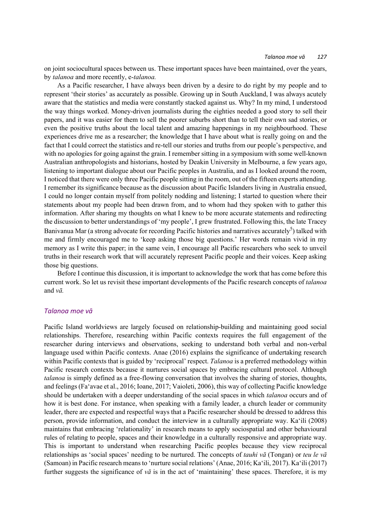on joint sociocultural spaces between us. These important spaces have been maintained, over the years, by *talanoa* and more recently, e-*talanoa.*

As a Pacific researcher, I have always been driven by a desire to do right by my people and to represent 'their stories' as accurately as possible. Growing up in South Auckland, I was always acutely aware that the statistics and media were constantly stacked against us. Why? In my mind, I understood the way things worked. Money-driven journalists during the eighties needed a good story to sell their papers, and it was easier for them to sell the poorer suburbs short than to tell their own sad stories, or even the positive truths about the local talent and amazing happenings in my neighbourhood. These experiences drive me as a researcher; the knowledge that I have about what is really going on and the fact that I could correct the statistics and re-tell our stories and truths from our people's perspective, and with no apologies for going against the grain. I remember sitting in a symposium with some well-known Australian anthropologists and historians, hosted by Deakin University in Melbourne, a few years ago, listening to important dialogue about our Pacific peoples in Australia, and as I looked around the room, I noticed that there were only three Pacific people sitting in the room, out of the fifteen experts attending. I remember its significance because as the discussion about Pacific Islanders living in Australia ensued, I could no longer contain myself from politely nodding and listening; I started to question where their statements about my people had been drawn from, and to whom had they spoken with to gather this information. After sharing my thoughts on what I knew to be more accurate statements and redirecting the discussion to better understandings of 'my people', I grew frustrated. Following this, the late Tracey Banivanua Mar (a strong advocate for recording Pacific histories and narratives accurately<sup>5</sup>) talked with me and firmly encouraged me to 'keep asking those big questions.' Her words remain vivid in my memory as I write this paper; in the same vein, I encourage all Pacific researchers who seek to unveil truths in their research work that will accurately represent Pacific people and their voices. Keep asking those big questions.

Before I continue this discussion, it is important to acknowledge the work that has come before this current work. So let us revisit these important developments of the Pacific research concepts of *talanoa*  and *vā.*

#### *Talanoa moe vā*

Pacific Island worldviews are largely focused on relationship-building and maintaining good social relationships. Therefore, researching within Pacific contexts requires the full engagement of the researcher during interviews and observations, seeking to understand both verbal and non-verbal language used within Pacific contexts. Anae (2016) explains the significance of undertaking research within Pacific contexts that is guided by 'reciprocal' respect. *Talanoa* is a preferred methodology within Pacific research contexts because it nurtures social spaces by embracing cultural protocol. Although *talanoa* is simply defined as a free-flowing conversation that involves the sharing of stories, thoughts, and feelings (Fa'avae et al., 2016; Ioane, 2017; Vaioleti, 2006), this way of collecting Pacific knowledge should be undertaken with a deeper understanding of the social spaces in which *talanoa* occurs and of how it is best done. For instance, when speaking with a family leader, a church leader or community leader, there are expected and respectful ways that a Pacific researcher should be dressed to address this person, provide information, and conduct the interview in a culturally appropriate way. Ka'ili (2008) maintains that embracing 'relationality' in research means to apply sociospatial and other behavioural rules of relating to people, spaces and their knowledge in a culturally responsive and appropriate way. This is important to understand when researching Pacific peoples because they view reciprocal relationships as 'social spaces' needing to be nurtured. The concepts of *tauhi vā* (Tongan) or *teu le vā* (Samoan) in Pacific research means to 'nurture social relations' (Anae, 2016; Ka'ili, 2017). Ka'ili (2017) further suggests the significance of  $v\bar{a}$  is in the act of 'maintaining' these spaces. Therefore, it is my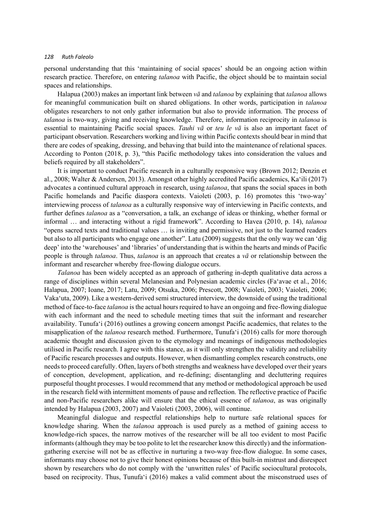personal understanding that this 'maintaining of social spaces' should be an ongoing action within research practice. Therefore, on entering *talanoa* with Pacific, the object should be to maintain social spaces and relationships.

Halapua (2003) makes an important link between *vā* and *talanoa* by explaining that *talanoa* allows for meaningful communication built on shared obligations. In other words, participation in *talanoa* obligates researchers to not only gather information but also to provide information. The process of *talanoa* is two-way, giving and receiving knowledge. Therefore, information reciprocity in *talanoa* is essential to maintaining Pacific social spaces. *Tauhi vā* or *teu le vā* is also an important facet of participant observation. Researchers working and living within Pacific contexts should bear in mind that there are codes of speaking, dressing, and behaving that build into the maintenance of relational spaces. According to Ponton (2018, p. 3), "this Pacific methodology takes into consideration the values and beliefs required by all stakeholders".

It is important to conduct Pacific research in a culturally responsive way (Brown 2012; Denzin et al., 2008; Walter & Andersen, 2013). Amongst other highly accredited Pacific academics, Ka'ili (2017) advocates a continued cultural approach in research, using *talanoa*, that spans the social spaces in both Pacific homelands and Pacific diaspora contexts. Vaioleti (2003, p. 16) promotes this 'two-way' interviewing process of *talanoa* as a culturally responsive way of interviewing in Pacific contexts, and further defines *talanoa* as a "conversation, a talk, an exchange of ideas or thinking, whether formal or informal … and interacting without a rigid framework". According to Havea (2010, p. 14), *talanoa* "opens sacred texts and traditional values … is inviting and permissive, not just to the learned readers but also to all participants who engage one another". Latu (2009) suggests that the only way we can 'dig deep' into the 'warehouses' and 'libraries' of understanding that is within the hearts and minds of Pacific people is through *talanoa*. Thus, *talanoa* is an approach that creates a *vā* or relationship between the informant and researcher whereby free-flowing dialogue occurs.

*Talanoa* has been widely accepted as an approach of gathering in-depth qualitative data across a range of disciplines within several Melanesian and Polynesian academic circles (Fa'avae et al., 2016; Halapua, 2007; Ioane, 2017; Latu, 2009; Otsuka, 2006; Prescott, 2008; Vaioleti, 2003; Vaioleti, 2006; Vaka'uta, 2009). Like a western-derived semi structured interview, the downside of using the traditional method of face-to-face *talanoa* is the actual hours required to have an ongoing and free-flowing dialogue with each informant and the need to schedule meeting times that suit the informant and researcher availability. Tunufa'i (2016) outlines a growing concern amongst Pacific academics, that relates to the misapplication of the *talanoa* research method. Furthermore, Tunufa'i (2016) calls for more thorough academic thought and discussion given to the etymology and meanings of indigenous methodologies utilised in Pacific research. I agree with this stance, as it will only strengthen the validity and reliability of Pacific research processes and outputs. However, when dismantling complex research constructs, one needs to proceed carefully. Often, layers of both strengths and weakness have developed over their years of conception, development, application, and re-defining; disentangling and decluttering requires purposeful thought processes. I would recommend that any method or methodological approach be used in the research field with intermittent moments of pause and reflection. The reflective practice of Pacific and non-Pacific researchers alike will ensure that the ethical essence of *talanoa*, as was originally intended by Halapua (2003, 2007) and Vaioleti (2003, 2006), will continue.

Meaningful dialogue and respectful relationships help to nurture safe relational spaces for knowledge sharing. When the *talanoa* approach is used purely as a method of gaining access to knowledge-rich spaces, the narrow motives of the researcher will be all too evident to most Pacific informants (although they may be too polite to let the researcher know this directly) and the informationgathering exercise will not be as effective in nurturing a two-way free-flow dialogue. In some cases, informants may choose not to give their honest opinions because of this built-in mistrust and disrespect shown by researchers who do not comply with the 'unwritten rules' of Pacific sociocultural protocols, based on reciprocity. Thus, Tunufa'i (2016) makes a valid comment about the misconstrued uses of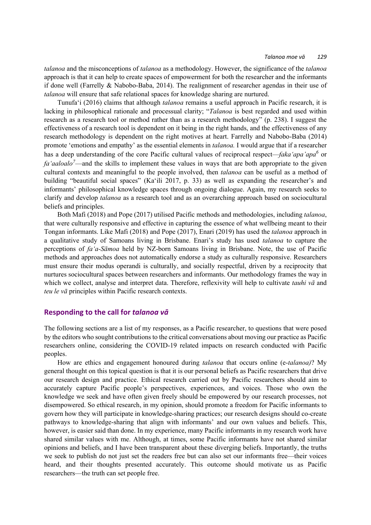*talanoa* and the misconceptions of *talanoa* as a methodology. However, the significance of the *talanoa* approach is that it can help to create spaces of empowerment for both the researcher and the informants if done well (Farrelly & Nabobo-Baba, 2014). The realignment of researcher agendas in their use of *talanoa* will ensure that safe relational spaces for knowledge sharing are nurtured.

Tunufa'i (2016) claims that although *talanoa* remains a useful approach in Pacific research, it is lacking in philosophical rationale and processual clarity; "*Talanoa* is best regarded and used within research as a research tool or method rather than as a research methodology" (p. 238). I suggest the effectiveness of a research tool is dependent on it being in the right hands, and the effectiveness of any research methodology is dependent on the right motives at heart. Farrelly and Nabobo-Baba (2014) promote 'emotions and empathy' as the essential elements in *talanoa.* I would argue that if a researcher has a deep understanding of the core Pacific cultural values of reciprocal respect—*faka'apa'apa<sup>6</sup>* or *fa'aaloalo<sup>7</sup>* —and the skills to implement these values in ways that are both appropriate to the given cultural contexts and meaningful to the people involved, then *talanoa* can be useful as a method of building "beautiful social spaces" (Ka'ili 2017, p. 33) as well as expanding the researcher's and informants' philosophical knowledge spaces through ongoing dialogue. Again, my research seeks to clarify and develop *talanoa* as a research tool and as an overarching approach based on sociocultural beliefs and principles.

Both Mafi (2018) and Pope (2017) utilised Pacific methods and methodologies, including *talanoa*, that were culturally responsive and effective in capturing the essence of what wellbeing meant to their Tongan informants. Like Mafi (2018) and Pope (2017), Enari (2019) has used the *talanoa* approach in a qualitative study of Samoans living in Brisbane. Enari's study has used *talanoa* to capture the perceptions of *fa'a-Sāmoa* held by NZ-born Samoans living in Brisbane. Note, the use of Pacific methods and approaches does not automatically endorse a study as culturally responsive. Researchers must ensure their modus operandi is culturally, and socially respectful, driven by a reciprocity that nurtures sociocultural spaces between researchers and informants. Our methodology frames the way in which we collect, analyse and interpret data. Therefore, reflexivity will help to cultivate *tauhi vā* and *teu le vā* principles within Pacific research contexts.

### **Responding to the call for** *talanoa vā*

The following sections are a list of my responses, as a Pacific researcher, to questions that were posed by the editors who sought contributions to the critical conversations about moving our practice as Pacific researchers online, considering the COVID-19 related impacts on research conducted with Pacific peoples.

How are ethics and engagement honoured during *talanoa* that occurs online (e-*talanoa)*? My general thought on this topical question is that it is our personal beliefs as Pacific researchers that drive our research design and practice. Ethical research carried out by Pacific researchers should aim to accurately capture Pacific people's perspectives, experiences, and voices. Those who own the knowledge we seek and have often given freely should be empowered by our research processes, not disempowered. So ethical research, in my opinion, should promote a freedom for Pacific informants to govern how they will participate in knowledge-sharing practices; our research designs should co-create pathways to knowledge-sharing that align with informants' and our own values and beliefs. This, however, is easier said than done. In my experience, many Pacific informants in my research work have shared similar values with me. Although, at times, some Pacific informants have not shared similar opinions and beliefs, and I have been transparent about these diverging beliefs. Importantly, the truths we seek to publish do not just set the readers free but can also set our informants free—their voices heard, and their thoughts presented accurately. This outcome should motivate us as Pacific researchers—the truth can set people free.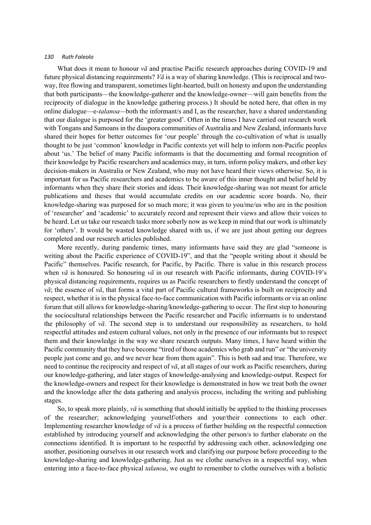What does it mean to honour *vā* and practise Pacific research approaches during COVID-19 and future physical distancing requirements? *Vā* is a way of sharing knowledge. (This is reciprocal and twoway, free flowing and transparent, sometimes light-hearted, built on honesty and upon the understanding that both participants—the knowledge-gatherer and the knowledge-owner—will gain benefits from the reciprocity of dialogue in the knowledge gathering process.) It should be noted here, that often in my online dialogue—e-*talanoa—*both the informant/s and I, as the researcher, have a shared understanding that our dialogue is purposed for the 'greater good'. Often in the times I have carried out research work with Tongans and Samoans in the diaspora communities of Australia and New Zealand, informants have shared their hopes for better outcomes for 'our people' through the co-cultivation of what is usually thought to be just 'common' knowledge in Pacific contexts yet will help to inform non-Pacific peoples about 'us.' The belief of many Pacific informants is that the documenting and formal recognition of their knowledge by Pacific researchers and academics may, in turn, inform policy makers, and other key decision-makers in Australia or New Zealand, who may not have heard their views otherwise. So, it is important for us Pacific researchers and academics to be aware of this inner thought and belief held by informants when they share their stories and ideas. Their knowledge-sharing was not meant for article publications and theses that would accumulate credits on our academic score boards. No, their knowledge-sharing was purposed for so much more; it was given to you/me/us who are in the position of 'researcher' and 'academic' to accurately record and represent their views and allow their voices to be heard. Let us take our research tasks more soberly now as we keep in mind that our work is ultimately for 'others'. It would be wasted knowledge shared with us, if we are just about getting our degrees completed and our research articles published.

More recently, during pandemic times, many informants have said they are glad "someone is writing about the Pacific experience of COVID-19", and that the "people writing about it should be Pacific" themselves. Pacific research, for Pacific, by Pacific. There is value in this research process when *vā* is honoured. So honouring *vā* in our research with Pacific informants, during COVID-19's physical distancing requirements, requires us as Pacific researchers to firstly understand the concept of *vā*; the essence of *vā*, that forms a vital part of Pacific cultural frameworks is built on reciprocity and respect, whether it is in the physical face-to-face communication with Pacific informants or via an online forum that still allows for knowledge-sharing/knowledge-gathering to occur. The first step to honouring the sociocultural relationships between the Pacific researcher and Pacific informants is to understand the philosophy of *vā*. The second step is to understand our responsibility as researchers, to hold respectful attitudes and esteem cultural values, not only in the presence of our informants but to respect them and their knowledge in the way we share research outputs. Many times, I have heard within the Pacific community that they have become "tired of those academics who grab and run" or "the university people just come and go, and we never hear from them again". This is both sad and true. Therefore, we need to continue the reciprocity and respect of *vā*, at all stages of our work as Pacific researchers, during our knowledge-gathering, and later stages of knowledge-analysing and knowledge-output. Respect for the knowledge-owners and respect for their knowledge is demonstrated in how we treat both the owner and the knowledge after the data gathering and analysis process, including the writing and publishing stages.

So, to speak more plainly, *vā* is something that should initially be applied to the thinking processes of the researcher; acknowledging yourself/others and your/their connections to each other. Implementing researcher knowledge of *vā* is a process of further building on the respectful connection established by introducing yourself and acknowledging the other person/s to further elaborate on the connections identified. It is important to be respectful by addressing each other, acknowledging one another, positioning ourselves in our research work and clarifying our purpose before proceeding to the knowledge-sharing and knowledge-gathering. Just as we clothe ourselves in a respectful way, when entering into a face-to-face physical *talanoa*, we ought to remember to clothe ourselves with a holistic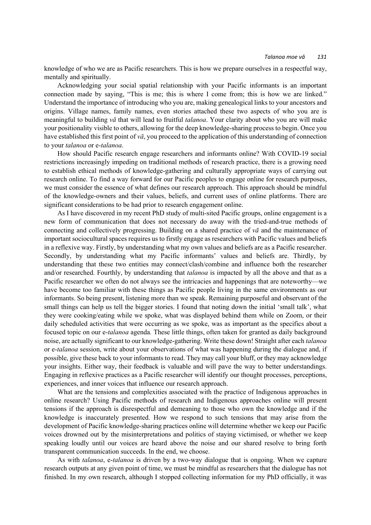knowledge of who we are as Pacific researchers. This is how we prepare ourselves in a respectful way, mentally and spiritually.

Acknowledging your social spatial relationship with your Pacific informants is an important connection made by saying, "This is me; this is where I come from; this is how we are linked." Understand the importance of introducing who you are, making genealogical links to your ancestors and origins. Village names, family names, even stories attached these two aspects of who you are is meaningful to building *vā* that will lead to fruitful *talanoa*. Your clarity about who you are will make your positionality visible to others, allowing for the deep knowledge-sharing process to begin. Once you have established this first point of *vā*, you proceed to the application of this understanding of connection to your *talanoa* or e-*talanoa*.

How should Pacific research engage researchers and informants online? With COVID-19 social restrictions increasingly impeding on traditional methods of research practice, there is a growing need to establish ethical methods of knowledge-gathering and culturally appropriate ways of carrying out research online. To find a way forward for our Pacific peoples to engage online for research purposes, we must consider the essence of what defines our research approach. This approach should be mindful of the knowledge-owners and their values, beliefs, and current uses of online platforms. There are significant considerations to be had prior to research engagement online.

As I have discovered in my recent PhD study of multi-sited Pacific groups, online engagement is a new form of communication that does not necessary do away with the tried-and-true methods of connecting and collectively progressing. Building on a shared practice of *vā* and the maintenance of important sociocultural spaces requires us to firstly engage as researchers with Pacific values and beliefs in a reflexive way. Firstly, by understanding what my own values and beliefs are as a Pacific researcher. Secondly, by understanding what my Pacific informants' values and beliefs are. Thirdly, by understanding that these two entities may connect/clash/combine and influence both the researcher and/or researched. Fourthly, by understanding that *talanoa* is impacted by all the above and that as a Pacific researcher we often do not always see the intricacies and happenings that are noteworthy—we have become too familiar with these things as Pacific people living in the same environments as our informants. So being present, listening more than we speak. Remaining purposeful and observant of the small things can help us tell the bigger stories. I found that noting down the initial 'small talk', what they were cooking/eating while we spoke, what was displayed behind them while on Zoom, or their daily scheduled activities that were occurring as we spoke, was as important as the specifics about a focused topic on our e-*talanoa* agenda*.* These little things, often taken for granted as daily background noise, are actually significant to our knowledge-gathering. Write these down! Straight after each *talanoa* or e-*talanoa* session, write about your observations of what was happening during the dialogue and, if possible, give these back to your informants to read. They may call your bluff, or they may acknowledge your insights. Either way, their feedback is valuable and will pave the way to better understandings. Engaging in reflexive practices as a Pacific researcher will identify our thought processes, perceptions, experiences, and inner voices that influence our research approach.

What are the tensions and complexities associated with the practice of Indigenous approaches in online research? Using Pacific methods of research and Indigenous approaches online will present tensions if the approach is disrespectful and demeaning to those who own the knowledge and if the knowledge is inaccurately presented. How we respond to such tensions that may arise from the development of Pacific knowledge-sharing practices online will determine whether we keep our Pacific voices drowned out by the misinterpretations and politics of staying victimised, or whether we keep speaking loudly until our voices are heard above the noise and our shared resolve to bring forth transparent communication succeeds. In the end, we choose.

As with *talanoa*, e-*talanoa* is driven by a two-way dialogue that is ongoing. When we capture research outputs at any given point of time, we must be mindful as researchers that the dialogue has not finished. In my own research, although I stopped collecting information for my PhD officially, it was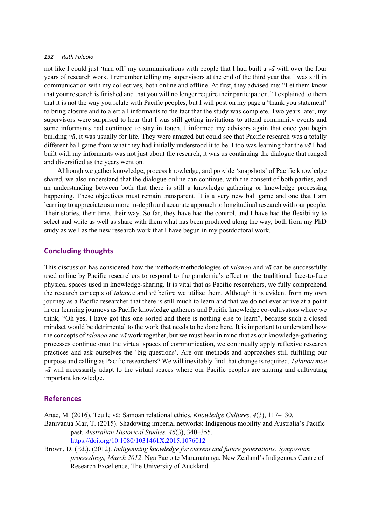not like I could just 'turn off' my communications with people that I had built a *vā* with over the four years of research work. I remember telling my supervisors at the end of the third year that I was still in communication with my collectives, both online and offline. At first, they advised me: "Let them know that your research is finished and that you will no longer require their participation." I explained to them that it is not the way you relate with Pacific peoples, but I will post on my page a 'thank you statement' to bring closure and to alert all informants to the fact that the study was complete. Two years later, my supervisors were surprised to hear that I was still getting invitations to attend community events and some informants had continued to stay in touch. I informed my advisors again that once you begin building *vā*, it was usually for life. They were amazed but could see that Pacific research was a totally different ball game from what they had initially understood it to be. I too was learning that the *vā* I had built with my informants was not just about the research, it was us continuing the dialogue that ranged and diversified as the years went on.

Although we gather knowledge, process knowledge, and provide 'snapshots' of Pacific knowledge shared, we also understand that the dialogue online can continue, with the consent of both parties, and an understanding between both that there is still a knowledge gathering or knowledge processing happening. These objectives must remain transparent. It is a very new ball game and one that I am learning to appreciate as a more in-depth and accurate approach to longitudinal research with our people. Their stories, their time, their way. So far, they have had the control, and I have had the flexibility to select and write as well as share with them what has been produced along the way, both from my PhD study as well as the new research work that I have begun in my postdoctoral work.

### **Concluding thoughts**

This discussion has considered how the methods/methodologies of *talanoa* and *vā* can be successfully used online by Pacific researchers to respond to the pandemic's effect on the traditional face-to-face physical spaces used in knowledge-sharing. It is vital that as Pacific researchers, we fully comprehend the research concepts of *talanoa* and *vā* before we utilise them. Although it is evident from my own journey as a Pacific researcher that there is still much to learn and that we do not ever arrive at a point in our learning journeys as Pacific knowledge gatherers and Pacific knowledge co-cultivators where we think, "Oh yes, I have got this one sorted and there is nothing else to learn", because such a closed mindset would be detrimental to the work that needs to be done here. It is important to understand how the concepts of *talanoa* and *vā* work together, but we must bear in mind that as our knowledge-gathering processes continue onto the virtual spaces of communication, we continually apply reflexive research practices and ask ourselves the 'big questions'. Are our methods and approaches still fulfilling our purpose and calling as Pacific researchers? We will inevitably find that change is required. *Talanoa moe vā* will necessarily adapt to the virtual spaces where our Pacific peoples are sharing and cultivating important knowledge.

### **References**

Anae, M. (2016). Teu le vā: Samoan relational ethics. *Knowledge Cultures, 4*(3), 117–130. Banivanua Mar, T. (2015). Shadowing imperial networks: Indigenous mobility and Australia's Pacific past. *Australian Historical Studies, 46*(3), 340–355. https://doi.org/10.1080/1031461X.2015.1076012

Brown, D. (Ed.). (2012). *Indigenising knowledge for current and future generations: Symposium proceedings, March 2012*. Ngā Pae o te Māramatanga, New Zealand's Indigenous Centre of Research Excellence, The University of Auckland.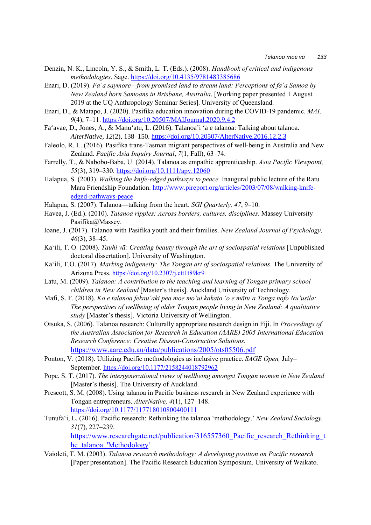- Denzin, N. K., Lincoln, Y. S., & Smith, L. T. (Eds.). (2008). *Handbook of critical and indigenous methodologies*. Sage. https://doi.org/10.4135/9781483385686
- Enari, D. (2019). *Fa'a saymore—from promised land to dream land: Perceptions of fa'a Samoa by New Zealand born Samoans in Brisbane, Australia*. [Working paper presented 1 August 2019 at the UQ Anthropology Seminar Series]. University of Queensland.
- Enari, D., & Matapo, J. (2020). Pasifika education innovation during the COVID-19 pandemic. *MAI, 9*(4), 7–11. https://doi.org/10.20507/MAIJournal.2020.9.4.2
- Fa'avae, D., Jones, A., & Manu'atu, L. (2016). Talanoa'i 'a e talanoa: Talking about talanoa. *AlterNative, 12*(2), 138–150. https://doi.org/10.20507/AlterNative.2016.12.2.3
- Faleolo, R. L. (2016). Pasifika trans-Tasman migrant perspectives of well-being in Australia and New Zealand. *Pacific Asia Inquiry Journal*, *7*(1, Fall), 63–74.
- Farrelly, T., & Nabobo-Baba, U. (2014). Talanoa as empathic apprenticeship. *Asia Pacific Viewpoint, 55*(3), 319–330. https://doi.org/10.1111/apv.12060
- Halapua, S. (2003). *Walking the knife-edged pathways to peace.* Inaugural public lecture of the Ratu Mara Friendship Foundation. http://www.pireport.org/articles/2003/07/08/walking-knifeedged-pathways-peace
- Halapua, S. (2007). Talanoa—talking from the heart. *SGI Quarterly, 47*, 9–10.
- Havea, J. (Ed.). (2010). *Talanoa ripples: Across borders, cultures, disciplines*. Massey University Pasifika@Massey.
- Ioane, J. (2017). Talanoa with Pasifika youth and their families. *New Zealand Journal of Psychology, 46*(3), 38–45.
- Ka'ili, T. O. (2008). *Tauhi vā: Creating beauty through the art of sociospatial relations* [Unpublished doctoral dissertation]. University of Washington.
- Ka'ili, T.O. (2017). *Marking indigeneity: The Tongan art of sociospatial relations*. The University of Arizona Press. https://doi.org/10.2307/j.ctt1t89kr9
- Latu, M. (2009). *Talanoa: A contribution to the teaching and learning of Tongan primary school children in New Zealand* [Master's thesis]. Auckland University of Technology.
- Mafi, S. F. (2018). *Ko e talanoa fekau'aki pea moe mo'ui kakato 'o e mātu'a Tonga nofo Nu'usila: The perspectives of wellbeing of older Tongan people living in New Zealand: A qualitative study* [Master's thesis]. Victoria University of Wellington.
- Otsuka, S. (2006). Talanoa research: Culturally appropriate research design in Fiji. In *Proceedings of the Australian Association for Research in Education (AARE) 2005 International Education Research Conference: Creative Dissent-Constructive Solutions.* https://www.aare.edu.au/data/publications/2005/ots05506.pdf
	-
- Ponton, V. (2018). Utilizing Pacific methodologies as inclusive practice. *SAGE Open,* July– September. https://doi.org/10.1177/2158244018792962
- Pope, S. T. (2017). *The intergenerational views of wellbeing amongst Tongan women in New Zealand* [Master's thesis]. The University of Auckland.
- Prescott, S. M. (2008). Using talanoa in Pacific business research in New Zealand experience with Tongan entrepreneurs. *AlterNative, 4*(1), 127–148. https://doi.org/10.1177/117718010800400111
- Tunufa'i, L. (2016). Pacific research: Rethinking the talanoa 'methodology.' *New Zealand Sociology, 31*(7), 227–239.

https://www.researchgate.net/publication/316557360 Pacific research Rethinking t he\_talanoa\_'Methodology'

Vaioleti, T. M. (2003). *Talanoa research methodology: A developing position on Pacific research* [Paper presentation]. The Pacific Research Education Symposium. University of Waikato.